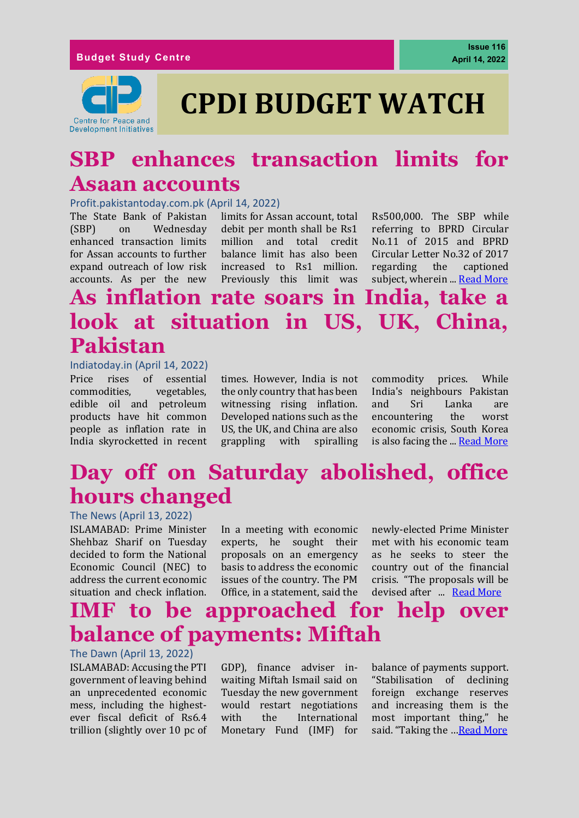

## **SBP enhances transaction limits for Asaan accounts**

#### Profit.pakistantoday.com.pk (April 14, 2022)

The State Bank of Pakistan (SBP) on Wednesday enhanced transaction limits for Assan accounts to further expand outreach of low risk accounts. As per the new

limits for Assan account, total debit per month shall be Rs1 million and total credit balance limit has also been increased to Rs1 million. Previously this limit was

Rs500,000. The SBP while referring to BPRD Circular No.11 of 2015 and BPRD Circular Letter No.32 of 2017 regarding the captioned subject, wherein ... [Read More](https://profit.pakistantoday.com.pk/2022/04/14/sbp-enhances-transaction-limits-for-asaan-accounts/)

### **As inflation rate soars in India, take a look at situation in US, UK, China, Pakistan**

#### Indiatoday.in (April 14, 2022)

Price rises of essential commodities, vegetables, edible oil and petroleum products have hit common people as inflation rate in India skyrocketted in recent

times. [However, India is not](https://www.indiatoday.in/business/story/price-rise-inflation-in-india-from-food-items-to-edible-oil-rates-what-to-expect-in-coming-months-1936944-2022-04-13)  [the only country](https://www.indiatoday.in/business/story/price-rise-inflation-in-india-from-food-items-to-edible-oil-rates-what-to-expect-in-coming-months-1936944-2022-04-13) that has been witnessing rising inflation. Developed nations such as the US, the UK, and China are also grappling with spiralling commodity prices. While India's neighbours Pakistan and Sri Lanka are encountering the worst economic crisis, South Korea is also facing the ... [Read More](https://www.thenews.com.pk/print/946058-pakistan-s-regional-exports-jump-26-47pc-in-july-feb)

# **Day off on Saturday abolished, office hours changed**

#### The News (April 13, 2022)

ISLAMABAD: Prime Minister Shehbaz Sharif on Tuesday decided to form the National Economic Council (NEC) to address the current economic situation and check inflation.

In a meeting with economic experts, he sought their proposals on an emergency basis to address the economic issues of the country. The PM Office, in a statement, said the

newly-elected Prime Minister met with his economic team as he seeks to steer the country out of the financial crisis. "The proposals will be devised after ... [Read More](https://www.thenews.com.pk/print/949694-two-day-offs-abolished-office-hours-changed)

### **IMF to be approached for help over balance of payments: Miftah**

#### The Dawn (April 13, 2022)

ISLAMABAD: Accusing the PTI government of leaving behind an unprecedented economic mess, including the highestever fiscal deficit of Rs6.4 trillion (slightly over 10 pc of

GDP), finance adviser inwaiting Miftah Ismail said on Tuesday the new government would restart negotiations with the International Monetary Fund (IMF) for

balance of payments support. "Stabilisation of declining foreign exchange reserves and increasing them is the most important thing," he said. "Taking the …[Read More](https://www.dawn.com/news/1684769)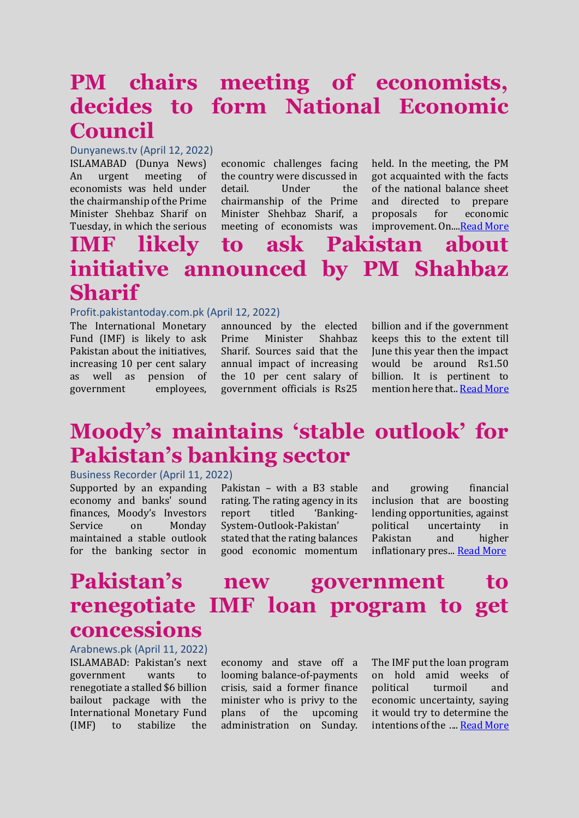### **PM chairs meeting of economists, decides to form National Economic Council**

#### Dunyanews.tv (April 12, 2022)

ISLAMABAD (Dunya News) An urgent meeting of economists was held under the chairmanship of the Prime Minister Shehbaz Sharif on Tuesday, in which the serious

economic challenges facing the country were discussed in detail. Under the chairmanship of the Prime Minister Shehbaz Sharif, a meeting of economists was

held. In the meeting, the PM got acquainted with the facts of the national balance sheet and directed to prepare proposals for economic improvement. On.... Read More

#### **IMF likely to ask Pakistan about initiative announced by PM Shahbaz Sharif**

#### Profit.pakistantoday.com.pk (April 12, 2022)

The International Monetary Fund (IMF) is likely to ask Pakistan about the initiatives, increasing 10 per cent salary as well as pension of government employees,

announced by the elected Prime Minister Shahbaz Sharif. Sources said that the annual impact of increasing the 10 per cent salary of government officials is Rs25 billion and if the government keeps this to the extent till June this year then the impact would be around Rs1.50 billion. It is pertinent to mention here that.. [Read More](https://profit.pakistantoday.com.pk/2022/04/12/imf-likely-to-ask-pakistan-about-initiative-announced-by-prime-minister-shahbaz-sharif/)

## **Moody's maintains 'stable outlook' for Pakistan's banking sector**

Business Recorder (April 11, 2022)

Supported by an expanding economy and banks' sound finances, Moody's Investors Service on Monday maintained a stable outlook for the banking sector in

Pakistan – with a B3 stable rating. The rating agency in its report titled 'Banking-System-Outlook-Pakistan' stated that the rating balances good economic momentum and growing financial inclusion that are boosting lending opportunities, against political uncertainty in Pakistan and higher inflationary pres... [Read More](https://www.brecorder.com/news/40166587/moodys-maintains-stable-outlook-for-pakistans-banking-sector)

# **Pakistan's new government to renegotiate IMF loan program to get concessions**

Arabnews.pk (April 11, 2022) ISLAMABAD: Pakistan's next government wants to renegotiate a stalled \$6 billion bailout package with the International Monetary Fund (IMF) to stabilize the

economy and stave off a looming balance-of-payments crisis, said a former finance minister who is privy to the plans of the upcoming administration on Sunday. The IMF put the loan program on hold amid weeks of political turmoil and economic uncertainty, saying it would try to determine the intentions of the .... [Read More](https://www.arabnews.pk/node/2060456/pakistan)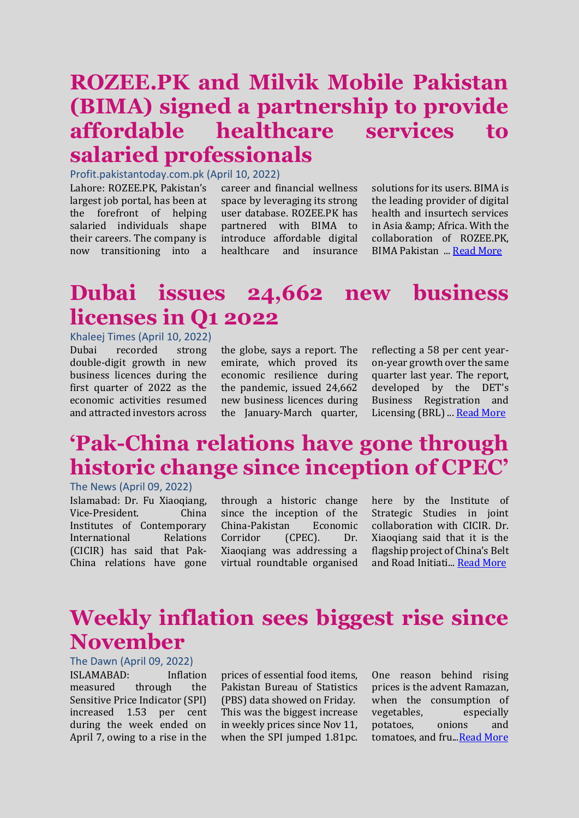## **ROZEE.PK and Milvik Mobile Pakistan (BIMA) signed a partnership to provide affordable healthcare services to salaried professionals**

Profit.pakistantoday.com.pk (April 10, 2022)

Lahore: ROZEE.PK, Pakistan's largest job portal, has been at the forefront of helping salaried individuals shape their careers. The company is now transitioning into a

career and financial wellness space by leveraging its strong user database. ROZEE.PK has partnered with BIMA to introduce affordable digital healthcare and insurance solutions for its users. BIMA is the leading provider of digital health and insurtech services in Asia & amp; Africa. With the collaboration of ROZEE.PK, BIMA Pakistan ..[. Read More](https://profit.pakistantoday.com.pk/2022/04/11/rozee-pk-bima-sign-partnership-to-provide-affordable-health-care-services-to-salaried-individual/)

## **Dubai issues 24,662 new business licenses in Q1 2022**

Khaleej Times (April 10, 2022) Dubai recorded strong double-digit growth in new business licences during the first quarter of 2022 as the economic activities resumed and attracted investors across

the globe, says a report. The emirate, which proved its economic resilience during the pandemic, issued 24,662 new business licences during the January-March quarter, reflecting a 58 per cent yearon-year growth over the same quarter last year. The report, developed by the DET's Business Registration and Licensing (BRL) ... [Read More](https://www.khaleejtimes.com/business/dubai-issues-24662-new-business-licenses-in-q1-2022)

# **'Pak-China relations have gone through historic change since inception of CPEC'**

The News (April 09, 2022)

Islamabad: Dr. Fu Xiaoqiang, Vice-President. China Institutes of Contemporary International Relations (CICIR) has said that Pak-China relations have gone

through a historic change since the inception of the China-Pakistan Economic Corridor (CPEC). Dr. Xiaoqiang was addressing a virtual roundtable organised here by the Institute of Strategic Studies in joint collaboration with CICIR. Dr. Xiaoqiang said that it is the flagship project of China's Belt and Road Initiati... [Read More](https://www.thenews.com.pk/print/948706-pak-china-relations-have-gone-through-historic-change-since-inception-of-cpec)

### **Weekly inflation sees biggest rise since November**

The Dawn (April 09, 2022) ISLAMABAD: Inflation measured through the Sensitive Price Indicator (SPI) increased 1.53 per cent during the week ended on April 7, owing to a rise in the

prices of essential food items, Pakistan Bureau of Statistics (PBS) data showed on Friday. This was the biggest increase in weekly prices since Nov 11, when the SPI jumped 1.81pc.

One reason behind rising prices is the advent Ramazan, when the consumption of vegetables, especially potatoes, onions and tomatoes, and fru..[.Read More](https://www.dawn.com/news/1684117)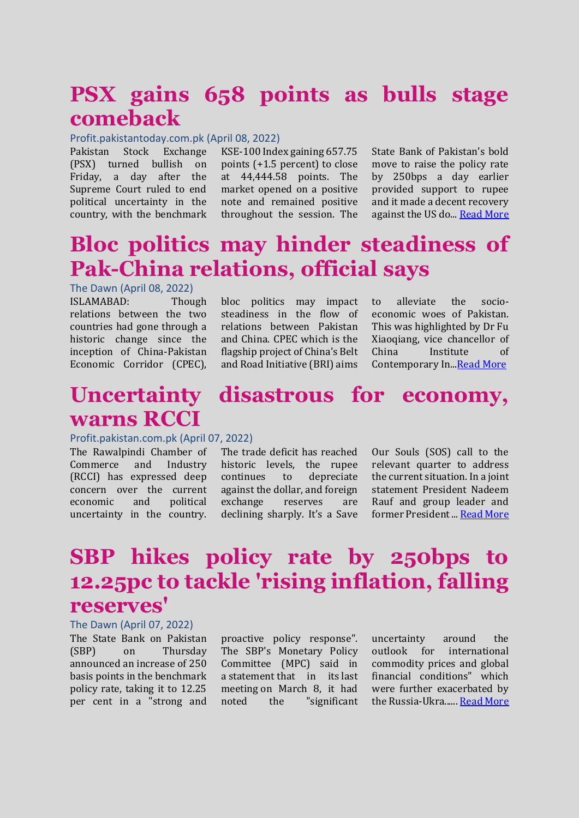### **PSX gains 658 points as bulls stage comeback**

#### Profit.pakistantoday.com.pk (April 08, 2022)

Pakistan Stock Exchange (PSX) turned bullish on Friday, a day after the Supreme Court ruled to end political uncertainty in the country, with the benchmark

KSE-100 Index gaining 657.75 points (+1.5 percent) to close at 44,444.58 points. The market opened on a positive note and remained positive throughout the session. The State Bank of Pakistan's bold move to raise the policy rate by 250bps a day earlier provided support to rupee and it made a decent recovery against the US do... [Read More](https://profit.pakistantoday.com.pk/2022/04/08/psx-gains-658-points-as-bulls-stage-comeback/)

## **Bloc politics may hinder steadiness of Pak-China relations, official says**

The Dawn (April 08, 2022)

ISLAMABAD: Though relations between the two countries had gone through a historic change since the inception of China-Pakistan Economic Corridor (CPEC),

bloc politics may impact steadiness in the flow of relations between Pakistan and China. CPEC which is the flagship project of China's Belt and Road Initiative (BRI) aims

to alleviate the socioeconomic woes of Pakistan. This was highlighted by Dr Fu Xiaoqiang, vice chancellor of China Institute of Contemporary In... Read More

### **Uncertainty disastrous for economy, warns RCCI**

#### Profit.pakistan.com.pk (April 07, 2022)

The Rawalpindi Chamber of Commerce and Industry (RCCI) has expressed deep concern over the current economic and political uncertainty in the country.

The trade deficit has reached historic levels, the rupee continues to depreciate against the dollar, and foreign exchange reserves are declining sharply. It's a Save

Our Souls (SOS) call to the relevant quarter to address the current situation. In a joint statement President Nadeem Rauf and group leader and former President ..[. Read More](https://profit.pakistantoday.com.pk/2022/04/07/uncertainty-disastrous-for-economy-warns-rcci/)

# **SBP hikes policy rate by 250bps to 12.25pc to tackle 'rising inflation, falling reserves'**

#### The Dawn (April 07, 2022)

The State Bank on Pakistan (SBP) on Thursday announced an increase of 250 basis points in the benchmark policy rate, taking it to 12.25 per cent in a "strong and

proactive policy response". The SBP's Monetary Policy Committee (MPC) said in a [statement](https://www.sbp.org.pk/m_policy/2022/MPS-Apr-2022-Eng.pdf) that in its [last](https://www.dawn.com/news/1679015)  [meeting](https://www.dawn.com/news/1679015) on March 8, it had noted the "significant uncertainty around the outlook for international commodity prices and global financial conditions" which were further exacerbated by the Russia-Ukra...... [Read More](https://www.dawn.com/news/1683878https:/www.dawn.com/news/1683878)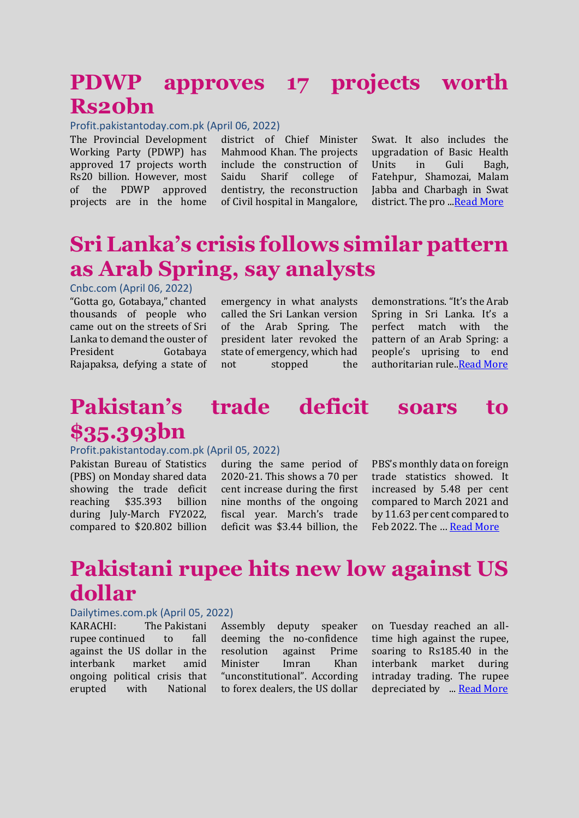### **PDWP approves 17 projects worth Rs20bn**

Profit.pakistantoday.com.pk (April 06, 2022)

The Provincial Development Working Party (PDWP) has approved 17 projects worth Rs20 billion. However, most of the PDWP approved projects are in the home

district of Chief Minister Mahmood Khan. The projects include the construction of Saidu Sharif college of dentistry, the reconstruction of Civil hospital in Mangalore,

Swat. It also includes the upgradation of Basic Health Units in Guli Bagh, Fatehpur, Shamozai, Malam Jabba and Charbagh in Swat district. The pro .[..Read](https://profit.pakistantoday.com.pk/2022/04/06/pdwp-approves-17-projects-worth-rs20bn/) More

## **Sri Lanka's crisis follows similar pattern as Arab Spring, say analysts**

Cnbc.com (April 06, 2022)

"Gotta go, Gotabaya," chanted thousands of people who came out on the streets of Sri Lanka to demand the ouster of President Gotabaya Rajapaksa, defying a state of emergency in what analysts called the Sri Lankan version of the Arab Spring. The president later revoked the state of emergency, which had not stopped the

demonstrations. "It's the Arab Spring in Sri Lanka. It's a perfect match with the pattern of an Arab Spring: a people's uprising to end authoritarian rule[..Read More](https://www.cnbc.com/2022/04/06/sri-lankas-crisis-follows-similar-pattern-as-arab-spring-say-analysts.html)

### **Pakistan's trade deficit soars to \$35.393bn**

#### Profit.pakistantoday.com.pk (April 05, 2022)

Pakistan Bureau of Statistics (PBS) on Monday shared data showing the trade deficit reaching \$35.393 billion during July-March FY2022, compared to \$20.802 billion

during the same period of 2020-21. This shows a 70 per cent increase during the first nine months of the ongoing fiscal year. March's trade deficit was \$3.44 billion, the PBS's monthly data on foreign trade statistics showed. It increased by 5.48 per cent compared to March 2021 and by 11.63 per cent compared to Feb 2022. The … [Read More](https://profit.pakistantoday.com.pk/2022/04/05/pakistans-trade-deficit-soars-to-35-393bn/)

# **Pakistani rupee hits new low against US dollar**

#### Dailytimes.com.pk (April 05, 2022)

KARACHI: The [Pakistani](https://dailytimes.com.pk/909835/pakistani-rupee-continues-to-show-a-downward-trend-against-us-dollar/)  [rupee](https://dailytimes.com.pk/909835/pakistani-rupee-continues-to-show-a-downward-trend-against-us-dollar/) continued to fall against the US dollar in the interbank market amid ongoing political crisis that erupted with National

Assembly deputy speaker deeming the no-confidence resolution against Prime Minister Imran Khan "unconstitutional". According to forex dealers, the US dollar

on Tuesday reached an alltime high against the rupee, soaring to Rs185.40 in the interbank market during intraday trading. The rupee depreciated by ... [Read More](https://dailytimes.com.pk/913689/pakistani-rupee-hits-new-low-against-us-dollar/)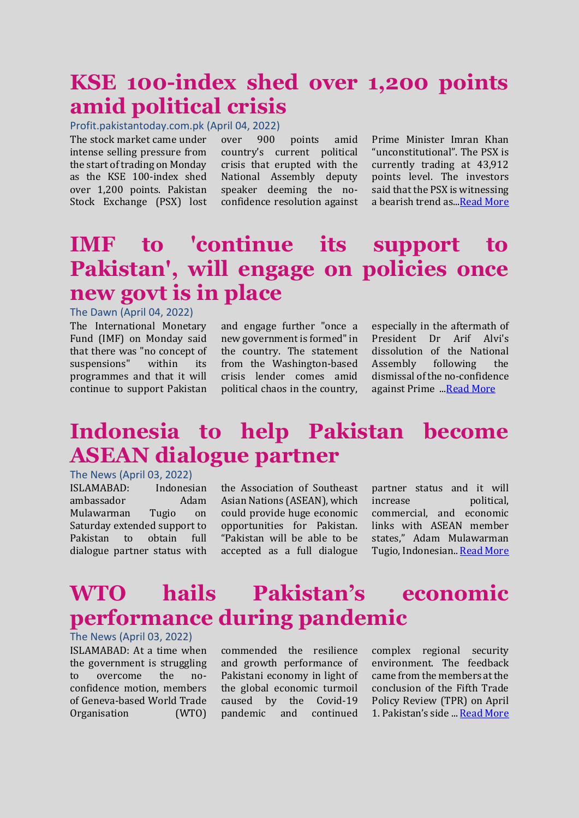### **KSE 100-index shed over 1,200 points amid political crisis**

Profit.pakistantoday.com.pk (April 04, 2022)

The stock market came under intense selling pressure from the start of trading on Monday as the KSE 100-index shed over 1,200 points. Pakistan Stock Exchange (PSX) lost

over 900 points amid country's current political crisis that erupted with the National Assembly deputy speaker deeming the noconfidence resolution against Prime Minister Imran Khan "unconstitutional". The PSX is currently trading at 43,912 points level. The investors said that the PSX is witnessing a bearish trend as.[..Read More](https://profit.pakistantoday.com.pk/2022/04/04/kse-100-index-shed-over-1200-points-amid-political-crisis/)

## **IMF to 'continue its support to Pakistan', will engage on policies once new govt is in place**

#### The Dawn (April 04, 2022)

The International Monetary Fund (IMF) on Monday said that there was "no concept of suspensions" within its programmes and that it will continue to support Pakistan and engage further "once a new government is formed" in the country. The statement from the Washington-based crisis lender comes amid political chaos in the country,

especially in the aftermath of President Dr Arif Alvi's dissolution of the National Assembly following the dismissal of the no-confidence against Prime ..[.Read More](https://www.dawn.com/news/1683422)

### **Indonesia to help Pakistan become ASEAN dialogue partner**

The News (April 03, 2022)

ISLAMABAD: Indonesian ambassador Adam Mulawarman Tugio on Saturday extended support to Pakistan to obtain full dialogue partner status with

the Association of Southeast Asian Nations (ASEAN), which could provide huge economic opportunities for Pakistan. "Pakistan will be able to be accepted as a full dialogue

partner status and it will increase political, commercial, and economic links with ASEAN member states," Adam Mulawarman Tugio, Indonesian.. [Read More](https://www.thenews.com.pk/print/946885-indonesia-to-help-pakistan-become-asean-dialogue-partner)

## **WTO hails Pakistan's economic performance during pandemic**

The News (April 03, 2022) ISLAMABAD: At a time when the government is struggling to overcome the noconfidence motion, members of Geneva-based World Trade Organisation (WTO)

commended the resilience and growth performance of Pakistani economy in light of the global economic turmoil caused by the Covid-19 pandemic and continued complex regional security environment. The feedback came from the members at the conclusion of the Fifth Trade Policy Review (TPR) on April 1. Pakistan's side ... [Read More](https://www.dawn.com/news/1683148)